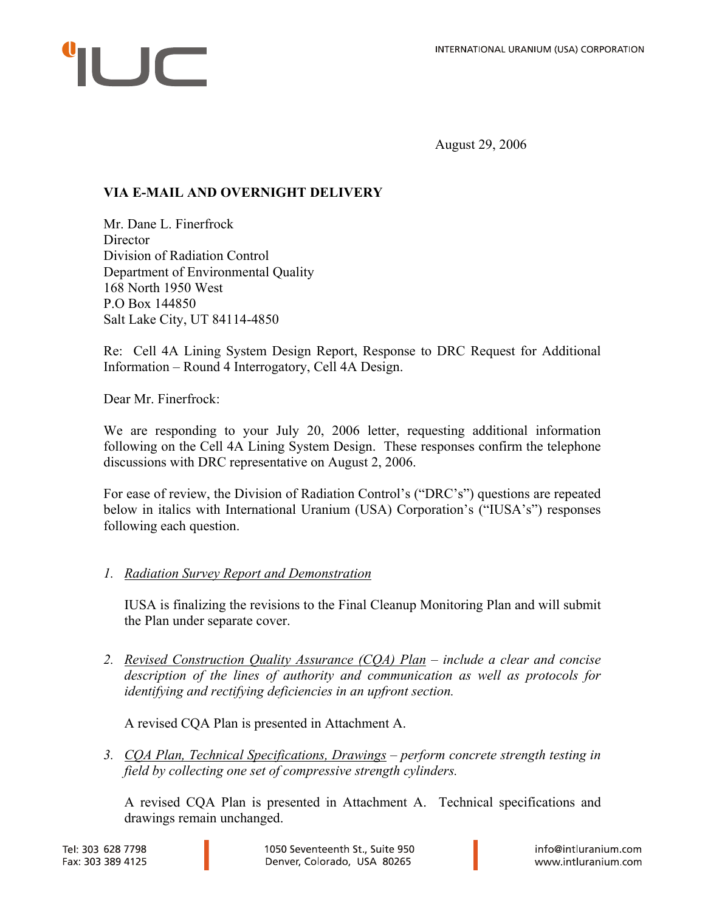# $\sqrt{ }$

August 29, 2006

# **VIA E-MAIL AND OVERNIGHT DELIVERY**

Mr. Dane L. Finerfrock **Director** Division of Radiation Control Department of Environmental Quality 168 North 1950 West P.O Box 144850 Salt Lake City, UT 84114-4850

Re: Cell 4A Lining System Design Report, Response to DRC Request for Additional Information – Round 4 Interrogatory, Cell 4A Design.

Dear Mr. Finerfrock:

We are responding to your July 20, 2006 letter, requesting additional information following on the Cell 4A Lining System Design. These responses confirm the telephone discussions with DRC representative on August 2, 2006.

For ease of review, the Division of Radiation Control's ("DRC's") questions are repeated below in italics with International Uranium (USA) Corporation's ("IUSA's") responses following each question.

# *1. Radiation Survey Report and Demonstration*

IUSA is finalizing the revisions to the Final Cleanup Monitoring Plan and will submit the Plan under separate cover.

*2. Revised Construction Quality Assurance (CQA) Plan – include a clear and concise description of the lines of authority and communication as well as protocols for identifying and rectifying deficiencies in an upfront section.* 

A revised CQA Plan is presented in Attachment A.

*3. CQA Plan, Technical Specifications, Drawings – perform concrete strength testing in field by collecting one set of compressive strength cylinders.*

A revised CQA Plan is presented in Attachment A. Technical specifications and drawings remain unchanged.

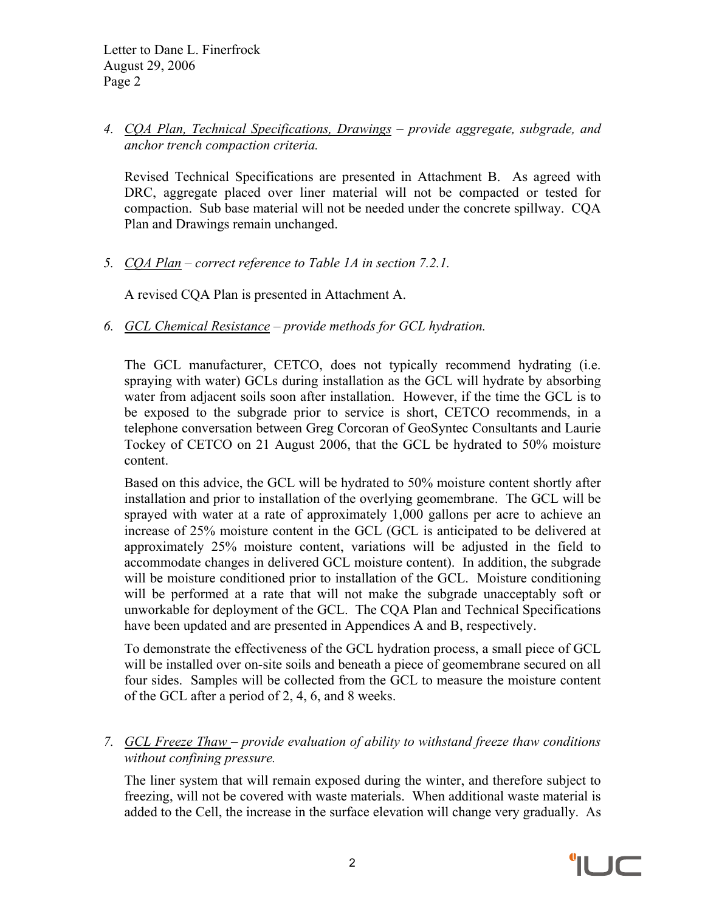*4. CQA Plan, Technical Specifications, Drawings – provide aggregate, subgrade, and anchor trench compaction criteria.*

Revised Technical Specifications are presented in Attachment B. As agreed with DRC, aggregate placed over liner material will not be compacted or tested for compaction. Sub base material will not be needed under the concrete spillway. CQA Plan and Drawings remain unchanged.

*5. CQA Plan – correct reference to Table 1A in section 7.2.1.* 

A revised CQA Plan is presented in Attachment A.

*6. GCL Chemical Resistance – provide methods for GCL hydration.* 

The GCL manufacturer, CETCO, does not typically recommend hydrating (i.e. spraying with water) GCLs during installation as the GCL will hydrate by absorbing water from adjacent soils soon after installation. However, if the time the GCL is to be exposed to the subgrade prior to service is short, CETCO recommends, in a telephone conversation between Greg Corcoran of GeoSyntec Consultants and Laurie Tockey of CETCO on 21 August 2006, that the GCL be hydrated to 50% moisture content.

Based on this advice, the GCL will be hydrated to 50% moisture content shortly after installation and prior to installation of the overlying geomembrane. The GCL will be sprayed with water at a rate of approximately 1,000 gallons per acre to achieve an increase of 25% moisture content in the GCL (GCL is anticipated to be delivered at approximately 25% moisture content, variations will be adjusted in the field to accommodate changes in delivered GCL moisture content). In addition, the subgrade will be moisture conditioned prior to installation of the GCL. Moisture conditioning will be performed at a rate that will not make the subgrade unacceptably soft or unworkable for deployment of the GCL. The CQA Plan and Technical Specifications have been updated and are presented in Appendices A and B, respectively.

To demonstrate the effectiveness of the GCL hydration process, a small piece of GCL will be installed over on-site soils and beneath a piece of geomembrane secured on all four sides. Samples will be collected from the GCL to measure the moisture content of the GCL after a period of 2, 4, 6, and 8 weeks.

*7. GCL Freeze Thaw – provide evaluation of ability to withstand freeze thaw conditions without confining pressure.* 

The liner system that will remain exposed during the winter, and therefore subject to freezing, will not be covered with waste materials. When additional waste material is added to the Cell, the increase in the surface elevation will change very gradually. As

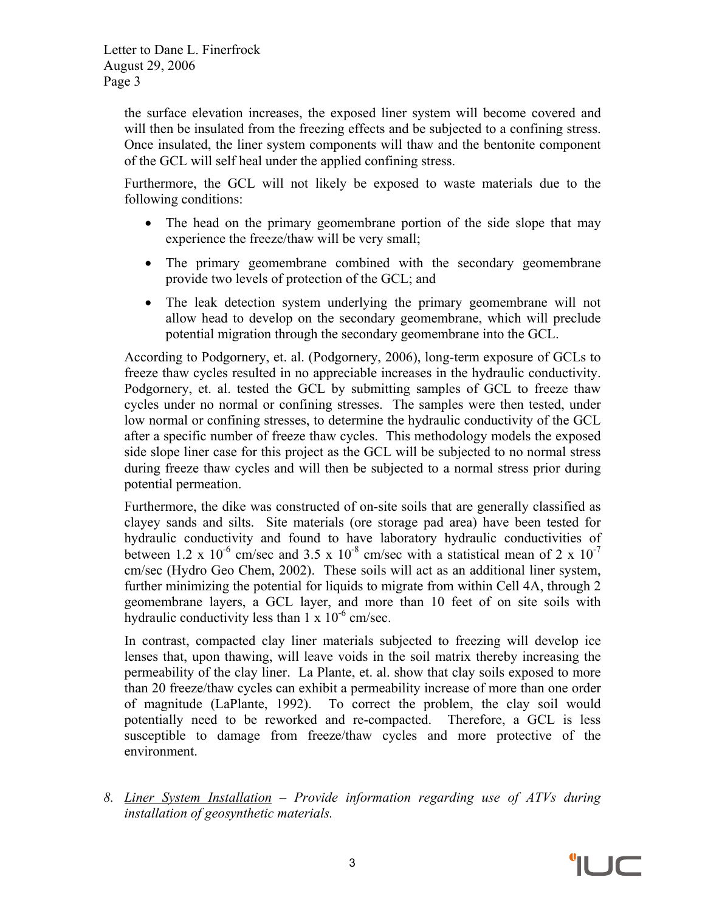> the surface elevation increases, the exposed liner system will become covered and will then be insulated from the freezing effects and be subjected to a confining stress. Once insulated, the liner system components will thaw and the bentonite component of the GCL will self heal under the applied confining stress.

> Furthermore, the GCL will not likely be exposed to waste materials due to the following conditions:

- The head on the primary geomembrane portion of the side slope that may experience the freeze/thaw will be very small;
- The primary geomembrane combined with the secondary geomembrane provide two levels of protection of the GCL; and
- The leak detection system underlying the primary geomembrane will not allow head to develop on the secondary geomembrane, which will preclude potential migration through the secondary geomembrane into the GCL.

According to Podgornery, et. al. (Podgornery, 2006), long-term exposure of GCLs to freeze thaw cycles resulted in no appreciable increases in the hydraulic conductivity. Podgornery, et. al. tested the GCL by submitting samples of GCL to freeze thaw cycles under no normal or confining stresses. The samples were then tested, under low normal or confining stresses, to determine the hydraulic conductivity of the GCL after a specific number of freeze thaw cycles. This methodology models the exposed side slope liner case for this project as the GCL will be subjected to no normal stress during freeze thaw cycles and will then be subjected to a normal stress prior during potential permeation.

Furthermore, the dike was constructed of on-site soils that are generally classified as clayey sands and silts. Site materials (ore storage pad area) have been tested for hydraulic conductivity and found to have laboratory hydraulic conductivities of between 1.2 x  $10^{-6}$  cm/sec and 3.5 x  $10^{-8}$  cm/sec with a statistical mean of 2 x  $10^{-7}$ cm/sec (Hydro Geo Chem, 2002). These soils will act as an additional liner system, further minimizing the potential for liquids to migrate from within Cell 4A, through 2 geomembrane layers, a GCL layer, and more than 10 feet of on site soils with hydraulic conductivity less than  $1 \times 10^{-6}$  cm/sec.

In contrast, compacted clay liner materials subjected to freezing will develop ice lenses that, upon thawing, will leave voids in the soil matrix thereby increasing the permeability of the clay liner. La Plante, et. al. show that clay soils exposed to more than 20 freeze/thaw cycles can exhibit a permeability increase of more than one order of magnitude (LaPlante, 1992). To correct the problem, the clay soil would potentially need to be reworked and re-compacted. Therefore, a GCL is less susceptible to damage from freeze/thaw cycles and more protective of the environment.

*8. Liner System Installation – Provide information regarding use of ATVs during installation of geosynthetic materials.* 

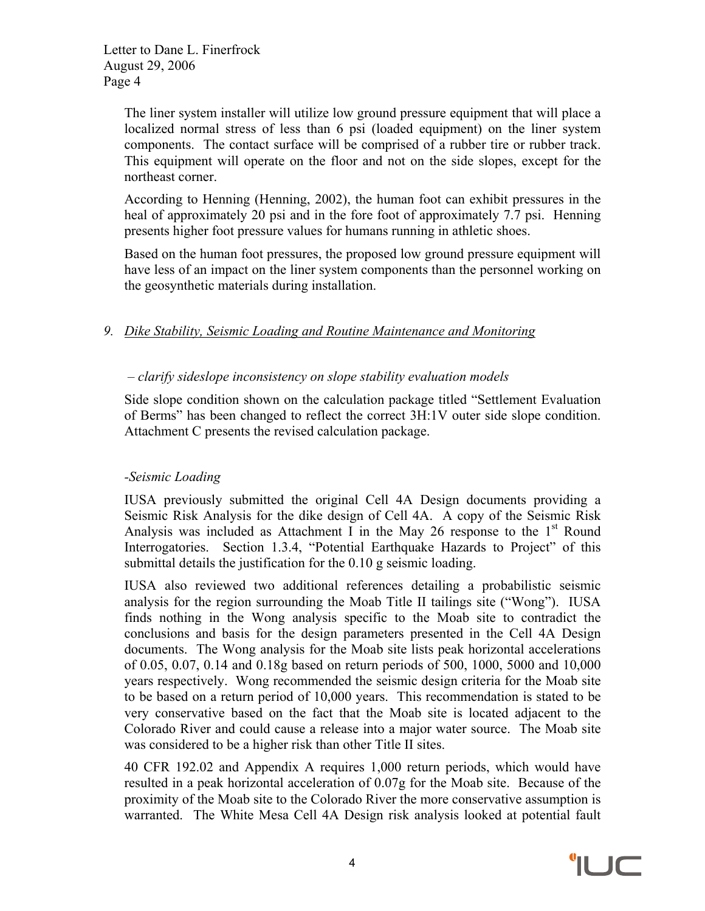> The liner system installer will utilize low ground pressure equipment that will place a localized normal stress of less than 6 psi (loaded equipment) on the liner system components. The contact surface will be comprised of a rubber tire or rubber track. This equipment will operate on the floor and not on the side slopes, except for the northeast corner.

> According to Henning (Henning, 2002), the human foot can exhibit pressures in the heal of approximately 20 psi and in the fore foot of approximately 7.7 psi. Henning presents higher foot pressure values for humans running in athletic shoes.

> Based on the human foot pressures, the proposed low ground pressure equipment will have less of an impact on the liner system components than the personnel working on the geosynthetic materials during installation.

## *9. Dike Stability, Seismic Loading and Routine Maintenance and Monitoring*

## *– clarify sideslope inconsistency on slope stability evaluation models*

Side slope condition shown on the calculation package titled "Settlement Evaluation of Berms" has been changed to reflect the correct 3H:1V outer side slope condition. Attachment C presents the revised calculation package.

#### *-Seismic Loading*

IUSA previously submitted the original Cell 4A Design documents providing a Seismic Risk Analysis for the dike design of Cell 4A. A copy of the Seismic Risk Analysis was included as Attachment I in the May 26 response to the  $1<sup>st</sup>$  Round Interrogatories. Section 1.3.4, "Potential Earthquake Hazards to Project" of this submittal details the justification for the 0.10 g seismic loading.

IUSA also reviewed two additional references detailing a probabilistic seismic analysis for the region surrounding the Moab Title II tailings site ("Wong"). IUSA finds nothing in the Wong analysis specific to the Moab site to contradict the conclusions and basis for the design parameters presented in the Cell 4A Design documents. The Wong analysis for the Moab site lists peak horizontal accelerations of 0.05, 0.07, 0.14 and 0.18g based on return periods of 500, 1000, 5000 and 10,000 years respectively. Wong recommended the seismic design criteria for the Moab site to be based on a return period of 10,000 years. This recommendation is stated to be very conservative based on the fact that the Moab site is located adjacent to the Colorado River and could cause a release into a major water source. The Moab site was considered to be a higher risk than other Title II sites.

40 CFR 192.02 and Appendix A requires 1,000 return periods, which would have resulted in a peak horizontal acceleration of 0.07g for the Moab site. Because of the proximity of the Moab site to the Colorado River the more conservative assumption is warranted. The White Mesa Cell 4A Design risk analysis looked at potential fault

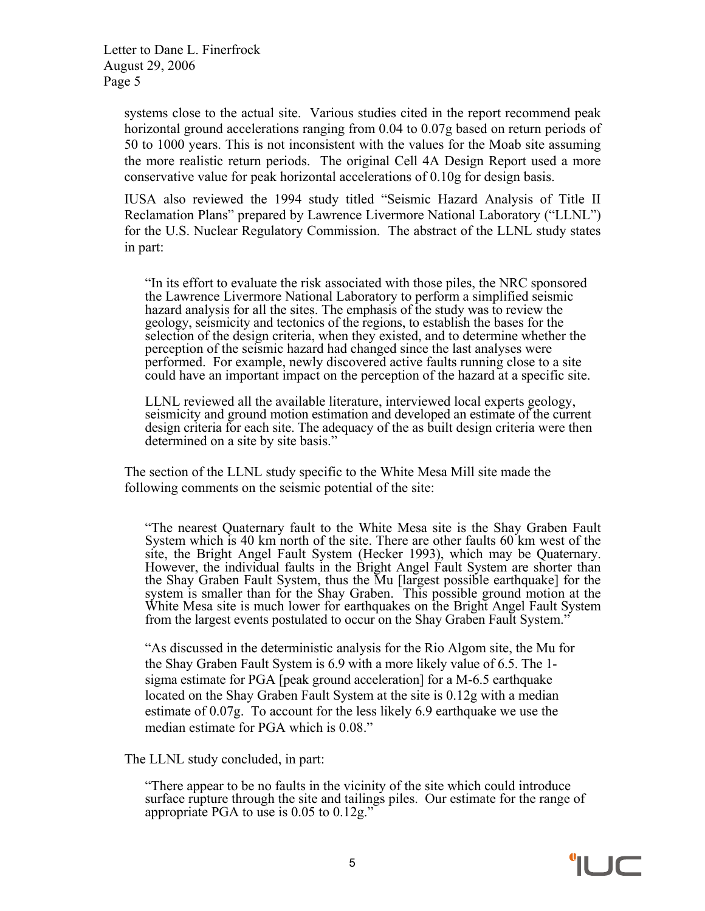> systems close to the actual site. Various studies cited in the report recommend peak horizontal ground accelerations ranging from 0.04 to 0.07g based on return periods of 50 to 1000 years. This is not inconsistent with the values for the Moab site assuming the more realistic return periods. The original Cell 4A Design Report used a more conservative value for peak horizontal accelerations of 0.10g for design basis.

> IUSA also reviewed the 1994 study titled "Seismic Hazard Analysis of Title II Reclamation Plans" prepared by Lawrence Livermore National Laboratory ("LLNL") for the U.S. Nuclear Regulatory Commission. The abstract of the LLNL study states in part:

"In its effort to evaluate the risk associated with those piles, the NRC sponsored the Lawrence Livermore National Laboratory to perform a simplified seismic hazard analysis for all the sites. The emphasis of the study was to review the geology, seismicity and tectonics of the regions, to establish the bases for the selection of the design criteria, when they existed, and to determine whether the perception of the seismic hazard had changed since the last analyses were performed. For example, newly discovered active faults running close to a site could have an important impact on the perception of the hazard at a specific site.

LLNL reviewed all the available literature, interviewed local experts geology, seismicity and ground motion estimation and developed an estimate of the current design criteria for each site. The adequacy of the as built design criteria were then determined on a site by site basis."

The section of the LLNL study specific to the White Mesa Mill site made the following comments on the seismic potential of the site:

"The nearest Quaternary fault to the White Mesa site is the Shay Graben Fault System which is 40 km north of the site. There are other faults 60 km west of the site, the Bright Angel Fault System (Hecker 1993), which may be Quaternary. However, the individual faults in the Bright Angel Fault System are shorter than the Shay Graben Fault System, thus the Mu [largest possible earthquake] for the system is smaller than for the Shay Graben. This possible ground motion at the White Mesa site is much lower for earthquakes on the Bright Angel Fault System from the largest events postulated to occur on the Shay Graben Fault System.'

"As discussed in the deterministic analysis for the Rio Algom site, the Mu for the Shay Graben Fault System is 6.9 with a more likely value of 6.5. The 1 sigma estimate for PGA [peak ground acceleration] for a M-6.5 earthquake located on the Shay Graben Fault System at the site is 0.12g with a median estimate of 0.07g. To account for the less likely 6.9 earthquake we use the median estimate for PGA which is 0.08."

The LLNL study concluded, in part:

"There appear to be no faults in the vicinity of the site which could introduce surface rupture through the site and tailings piles. Our estimate for the range of appropriate PGA to use is 0.05 to 0.12g."

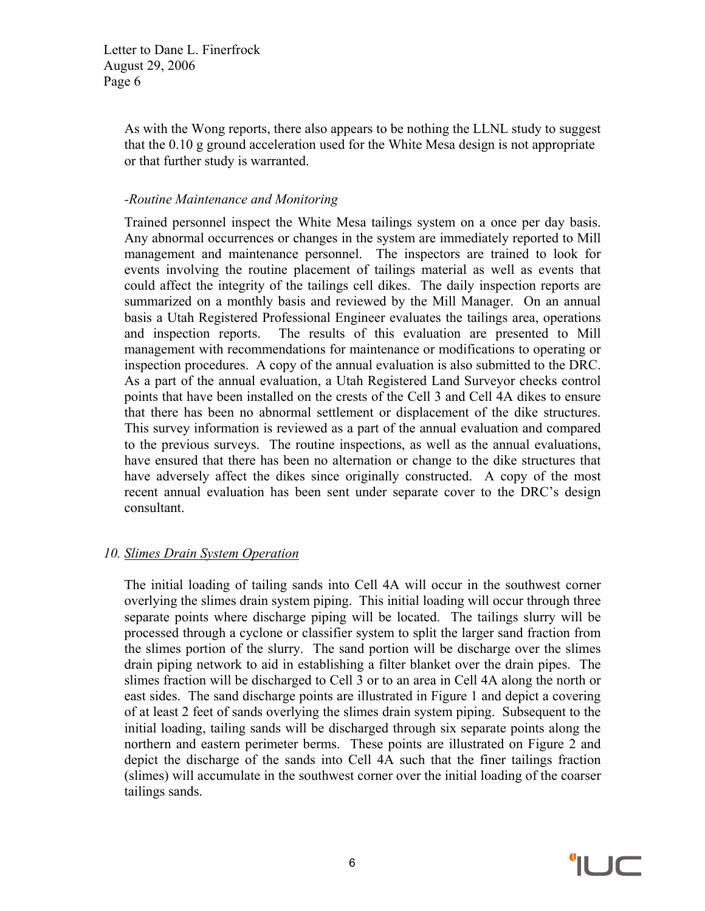> As with the Wong reports, there also appears to be nothing the LLNL study to suggest that the 0.10 g ground acceleration used for the White Mesa design is not appropriate or that further study is warranted.

#### *-Routine Maintenance and Monitoring*

Trained personnel inspect the White Mesa tailings system on a once per day basis. Any abnormal occurrences or changes in the system are immediately reported to Mill management and maintenance personnel. The inspectors are trained to look for events involving the routine placement of tailings material as well as events that could affect the integrity of the tailings cell dikes. The daily inspection reports are summarized on a monthly basis and reviewed by the Mill Manager. On an annual basis a Utah Registered Professional Engineer evaluates the tailings area, operations and inspection reports. The results of this evaluation are presented to Mill management with recommendations for maintenance or modifications to operating or inspection procedures. A copy of the annual evaluation is also submitted to the DRC. As a part of the annual evaluation, a Utah Registered Land Surveyor checks control points that have been installed on the crests of the Cell 3 and Cell 4A dikes to ensure that there has been no abnormal settlement or displacement of the dike structures. This survey information is reviewed as a part of the annual evaluation and compared to the previous surveys. The routine inspections, as well as the annual evaluations, have ensured that there has been no alternation or change to the dike structures that have adversely affect the dikes since originally constructed. A copy of the most recent annual evaluation has been sent under separate cover to the DRC's design consultant.

#### *10. Slimes Drain System Operation*

The initial loading of tailing sands into Cell 4A will occur in the southwest corner overlying the slimes drain system piping. This initial loading will occur through three separate points where discharge piping will be located. The tailings slurry will be processed through a cyclone or classifier system to split the larger sand fraction from the slimes portion of the slurry. The sand portion will be discharge over the slimes drain piping network to aid in establishing a filter blanket over the drain pipes. The slimes fraction will be discharged to Cell 3 or to an area in Cell 4A along the north or east sides. The sand discharge points are illustrated in Figure 1 and depict a covering of at least 2 feet of sands overlying the slimes drain system piping. Subsequent to the initial loading, tailing sands will be discharged through six separate points along the northern and eastern perimeter berms. These points are illustrated on Figure 2 and depict the discharge of the sands into Cell 4A such that the finer tailings fraction (slimes) will accumulate in the southwest corner over the initial loading of the coarser tailings sands.

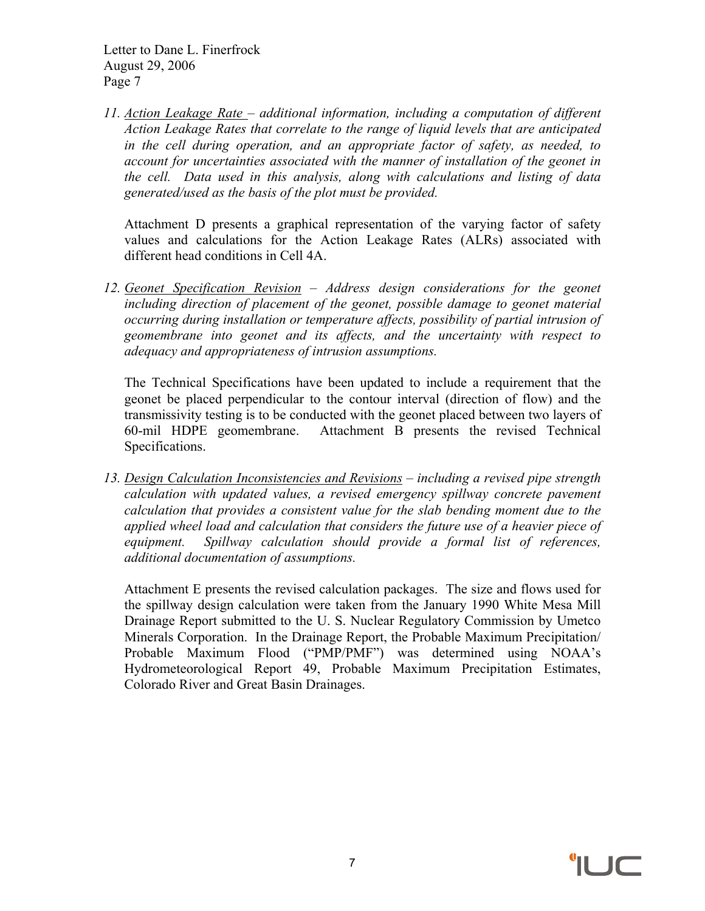*11. Action Leakage Rate – additional information, including a computation of different Action Leakage Rates that correlate to the range of liquid levels that are anticipated in the cell during operation, and an appropriate factor of safety, as needed, to account for uncertainties associated with the manner of installation of the geonet in the cell. Data used in this analysis, along with calculations and listing of data generated/used as the basis of the plot must be provided.*

Attachment D presents a graphical representation of the varying factor of safety values and calculations for the Action Leakage Rates (ALRs) associated with different head conditions in Cell 4A.

*12. Geonet Specification Revision – Address design considerations for the geonet including direction of placement of the geonet, possible damage to geonet material occurring during installation or temperature affects, possibility of partial intrusion of geomembrane into geonet and its affects, and the uncertainty with respect to adequacy and appropriateness of intrusion assumptions.*

The Technical Specifications have been updated to include a requirement that the geonet be placed perpendicular to the contour interval (direction of flow) and the transmissivity testing is to be conducted with the geonet placed between two layers of 60-mil HDPE geomembrane. Attachment B presents the revised Technical Specifications.

*13. Design Calculation Inconsistencies and Revisions – including a revised pipe strength calculation with updated values, a revised emergency spillway concrete pavement calculation that provides a consistent value for the slab bending moment due to the applied wheel load and calculation that considers the future use of a heavier piece of equipment. Spillway calculation should provide a formal list of references, additional documentation of assumptions.*

Attachment E presents the revised calculation packages. The size and flows used for the spillway design calculation were taken from the January 1990 White Mesa Mill Drainage Report submitted to the U. S. Nuclear Regulatory Commission by Umetco Minerals Corporation. In the Drainage Report, the Probable Maximum Precipitation/ Probable Maximum Flood ("PMP/PMF") was determined using NOAA's Hydrometeorological Report 49, Probable Maximum Precipitation Estimates, Colorado River and Great Basin Drainages.